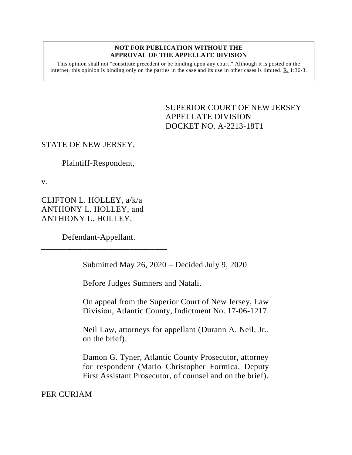#### **NOT FOR PUBLICATION WITHOUT THE APPROVAL OF THE APPELLATE DIVISION**

This opinion shall not "constitute precedent or be binding upon any court." Although it is posted on the internet, this opinion is binding only on the parties in the case and its use in other cases is limited.  $R_1$  1:36-3.

> <span id="page-0-0"></span>SUPERIOR COURT OF NEW JERSEY APPELLATE DIVISION DOCKET NO. A-2213-18T1

# STATE OF NEW JERSEY,

Plaintiff-Respondent,

v.

CLIFTON L. HOLLEY, a/k/a ANTHONY L. HOLLEY, and ANTHIONY L. HOLLEY,

Defendant-Appellant.

\_\_\_\_\_\_\_\_\_\_\_\_\_\_\_\_\_\_\_\_\_\_\_\_\_\_\_\_\_\_

Submitted May 26, 2020 – Decided July 9, 2020

Before Judges Sumners and Natali.

On appeal from the Superior Court of New Jersey, Law Division, Atlantic County, Indictment No. 17-06-1217.

Neil Law, attorneys for appellant (Durann A. Neil, Jr., on the brief).

Damon G. Tyner, Atlantic County Prosecutor, attorney for respondent (Mario Christopher Formica, Deputy First Assistant Prosecutor, of counsel and on the brief).

PER CURIAM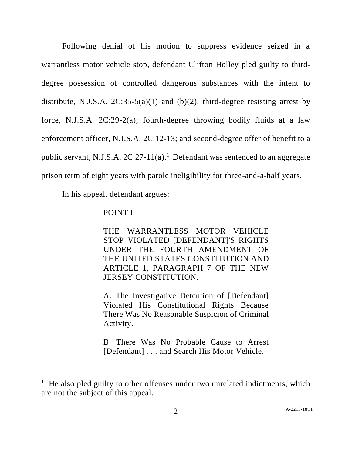Following denial of his motion to suppress evidence seized in a warrantless motor vehicle stop, defendant Clifton Holley pled guilty to thirddegree possession of controlled dangerous substances with the intent to distribute, N.J.S.A.  $2C:35-5(a)(1)$  and (b)(2); third-degree resisting arrest by force, N.J.S.A. 2C:29-2(a); fourth-degree throwing bodily fluids at a law enforcement officer, N.J.S.A. 2C:12-13; and second-degree offer of benefit to a public servant, N.J.S.A. 2C:27-11(a). <sup>1</sup> Defendant was sentenced to an aggregate prison term of eight years with parole ineligibility for three-and-a-half years.

In his appeal, defendant argues:

## POINT I

l

THE WARRANTLESS MOTOR VEHICLE STOP VIOLATED [DEFENDANT]'S RIGHTS UNDER THE FOURTH AMENDMENT OF THE UNITED STATES CONSTITUTION AND ARTICLE 1, PARAGRAPH 7 OF THE NEW JERSEY CONSTITUTION.

A. The Investigative Detention of [Defendant] Violated His Constitutional Rights Because There Was No Reasonable Suspicion of Criminal Activity.

B. There Was No Probable Cause to Arrest [Defendant] . . . and Search His Motor Vehicle.

<sup>&</sup>lt;sup>1</sup> He also pled guilty to other offenses under two unrelated indictments, which are not the subject of this appeal.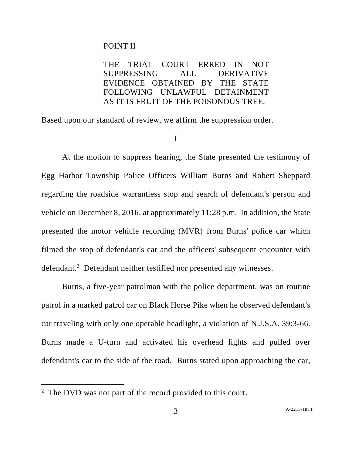### POINT II

THE TRIAL COURT ERRED IN NOT SUPPRESSING ALL DERIVATIVE EVIDENCE OBTAINED BY THE STATE FOLLOWING UNLAWFUL DETAINMENT AS IT IS FRUIT OF THE POISONOUS TREE.

Based upon our standard of review, we affirm the suppression order.

I

At the motion to suppress hearing, the State presented the testimony of Egg Harbor Township Police Officers William Burns and Robert Sheppard regarding the roadside warrantless stop and search of defendant's person and vehicle on December 8, 2016, at approximately 11:28 p.m. In addition, the State presented the motor vehicle recording (MVR) from Burns' police car which filmed the stop of defendant's car and the officers' subsequent encounter with defendant.<sup>2</sup> Defendant neither testified nor presented any witnesses.

Burns, a five-year patrolman with the police department, was on routine patrol in a marked patrol car on Black Horse Pike when he observed defendant's car traveling with only one operable headlight, a violation of N.J.S.A. 39:3-66. Burns made a U-turn and activated his overhead lights and pulled over defendant's car to the side of the road. Burns stated upon approaching the car,

 $\overline{a}$ 

<sup>&</sup>lt;sup>2</sup> The DVD was not part of the record provided to this court.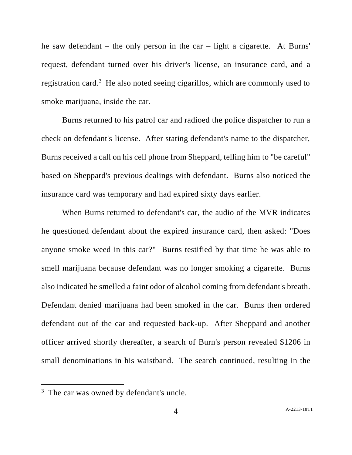he saw defendant – the only person in the car – light a cigarette. At Burns' request, defendant turned over his driver's license, an insurance card, and a registration card.<sup>3</sup> He also noted seeing cigarillos, which are commonly used to smoke marijuana, inside the car.

Burns returned to his patrol car and radioed the police dispatcher to run a check on defendant's license. After stating defendant's name to the dispatcher, Burns received a call on his cell phone from Sheppard, telling him to "be careful" based on Sheppard's previous dealings with defendant. Burns also noticed the insurance card was temporary and had expired sixty days earlier.

When Burns returned to defendant's car, the audio of the MVR indicates he questioned defendant about the expired insurance card, then asked: "Does anyone smoke weed in this car?" Burns testified by that time he was able to smell marijuana because defendant was no longer smoking a cigarette. Burns also indicated he smelled a faint odor of alcohol coming from defendant's breath. Defendant denied marijuana had been smoked in the car. Burns then ordered defendant out of the car and requested back-up. After Sheppard and another officer arrived shortly thereafter, a search of Burn's person revealed \$1206 in small denominations in his waistband. The search continued, resulting in the

 $\overline{a}$ 

 $3$  The car was owned by defendant's uncle.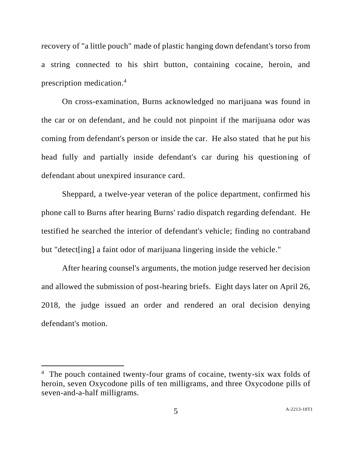recovery of "a little pouch" made of plastic hanging down defendant's torso from a string connected to his shirt button, containing cocaine, heroin, and prescription medication. 4

On cross-examination, Burns acknowledged no marijuana was found in the car or on defendant, and he could not pinpoint if the marijuana odor was coming from defendant's person or inside the car. He also stated that he put his head fully and partially inside defendant's car during his questioning of defendant about unexpired insurance card.

Sheppard, a twelve-year veteran of the police department, confirmed his phone call to Burns after hearing Burns' radio dispatch regarding defendant. He testified he searched the interior of defendant's vehicle; finding no contraband but "detect[ing] a faint odor of marijuana lingering inside the vehicle."

After hearing counsel's arguments, the motion judge reserved her decision and allowed the submission of post-hearing briefs. Eight days later on April 26, 2018, the judge issued an order and rendered an oral decision denying defendant's motion.

l

<sup>&</sup>lt;sup>4</sup> The pouch contained twenty-four grams of cocaine, twenty-six wax folds of heroin, seven Oxycodone pills of ten milligrams, and three Oxycodone pills of seven-and-a-half milligrams.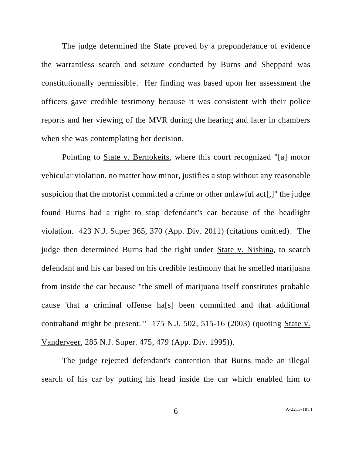The judge determined the State proved by a preponderance of evidence the warrantless search and seizure conducted by Burns and Sheppard was constitutionally permissible. Her finding was based upon her assessment the officers gave credible testimony because it was consistent with their police reports and her viewing of the MVR during the hearing and later in chambers when she was contemplating her decision.

Pointing to State v. Bernokeits, where this court recognized "[a] motor vehicular violation, no matter how minor, justifies a stop without any reasonable suspicion that the motorist committed a crime or other unlawful act[,]" the judge found Burns had a right to stop defendant's car because of the headlight violation. 423 N.J. Super 365, 370 (App. Div. 2011) (citations omitted). The judge then determined Burns had the right under State v. Nishina, to search defendant and his car based on his credible testimony that he smelled marijuana from inside the car because "the smell of marijuana itself constitutes probable cause 'that a criminal offense ha[s] been committed and that additional contraband might be present.'" 175 N.J. 502, 515-16 (2003) (quoting State v. Vanderveer, 285 N.J. Super. 475, 479 (App. Div. 1995)).

The judge rejected defendant's contention that Burns made an illegal search of his car by putting his head inside the car which enabled him to

6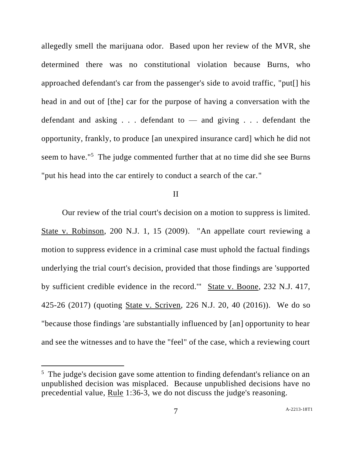allegedly smell the marijuana odor. Based upon her review of the MVR, she determined there was no constitutional violation because Burns, who approached defendant's car from the passenger's side to avoid traffic, "put[] his head in and out of [the] car for the purpose of having a conversation with the defendant and asking . . . defendant to — and giving . . . defendant the opportunity, frankly, to produce [an unexpired insurance card] which he did not seem to have."<sup>5</sup> The judge commented further that at no time did she see Burns "put his head into the car entirely to conduct a search of the car."

### II

Our review of the trial court's decision on a motion to suppress is limited. State v. Robinson, 200 N.J. 1, 15 (2009). "An appellate court reviewing a motion to suppress evidence in a criminal case must uphold the factual findings underlying the trial court's decision, provided that those findings are 'supported by sufficient credible evidence in the record.'" State v. Boone, 232 N.J. 417, 425-26 (2017) (quoting State v. Scriven, 226 N.J. 20, 40 (2016)). We do so "because those findings 'are substantially influenced by [an] opportunity to hear and see the witnesses and to have the "feel" of the case, which a reviewing court

l

<sup>&</sup>lt;sup>5</sup> The judge's decision gave some attention to finding defendant's reliance on an unpublished decision was misplaced. Because unpublished decisions have no precedential value, Rule 1:36-3, we do not discuss the judge's reasoning.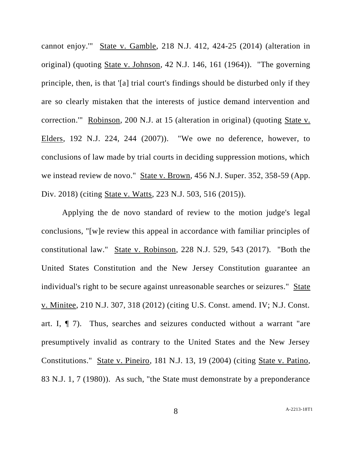cannot enjoy.'" State v. Gamble, 218 N.J. 412, 424-25 (2014) (alteration in original) (quoting State v. Johnson, 42 N.J. 146, 161 (1964)). "The governing principle, then, is that '[a] trial court's findings should be disturbed only if they are so clearly mistaken that the interests of justice demand intervention and correction.'" Robinson, 200 N.J. at 15 (alteration in original) (quoting State v. Elders, 192 N.J. 224, 244 (2007)). "We owe no deference, however, to conclusions of law made by trial courts in deciding suppression motions, which we instead review de novo." State v. Brown, 456 N.J. Super. 352, 358-59 (App. Div. 2018) (citing State v. Watts, 223 N.J. 503, 516 (2015)).

Applying the de novo standard of review to the motion judge's legal conclusions, "[w]e review this appeal in accordance with familiar principles of constitutional law." State v. Robinson, 228 N.J. 529, 543 (2017). "Both the United States Constitution and the New Jersey Constitution guarantee an individual's right to be secure against unreasonable searches or seizures." State v. Minitee, 210 N.J. 307, 318 (2012) (citing U.S. Const. amend. IV; N.J. Const. art. I, ¶ 7). Thus, searches and seizures conducted without a warrant "are presumptively invalid as contrary to the United States and the New Jersey Constitutions." State v. Pineiro, 181 N.J. 13, 19 (2004) (citing State v. Patino, 83 N.J. 1, 7 (1980)). As such, "the State must demonstrate by a preponderance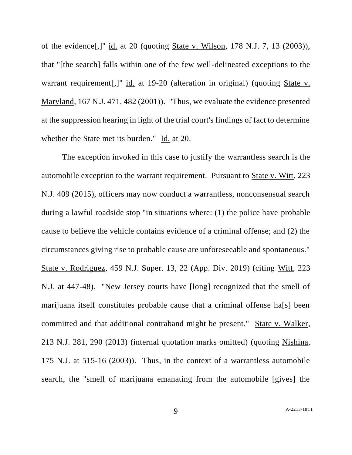of the evidence[,]" id. at 20 (quoting State v. Wilson, 178 N.J. 7, 13 (2003)), that "[the search] falls within one of the few well-delineated exceptions to the warrant requirement[,]" id. at 19-20 (alteration in original) (quoting State v. Maryland, 167 N.J. 471, 482 (2001)). "Thus, we evaluate the evidence presented at the suppression hearing in light of the trial court's findings of fact to determine whether the State met its burden." Id. at 20.

The exception invoked in this case to justify the warrantless search is the automobile exception to the warrant requirement. Pursuant to State v. Witt, 223 N.J. 409 (2015), officers may now conduct a warrantless, nonconsensual search during a lawful roadside stop "in situations where: (1) the police have probable cause to believe the vehicle contains evidence of a criminal offense; and (2) the circumstances giving rise to probable cause are unforeseeable and spontaneous." State v. Rodriguez, 459 N.J. Super. 13, 22 (App. Div. 2019) (citing Witt, 223 N.J. at 447-48). "New Jersey courts have [long] recognized that the smell of marijuana itself constitutes probable cause that a criminal offense ha[s] been committed and that additional contraband might be present." State v. Walker, 213 N.J. 281, 290 (2013) (internal quotation marks omitted) (quoting Nishina, 175 N.J. at 515-16 (2003)). Thus, in the context of a warrantless automobile search, the "smell of marijuana emanating from the automobile [gives] the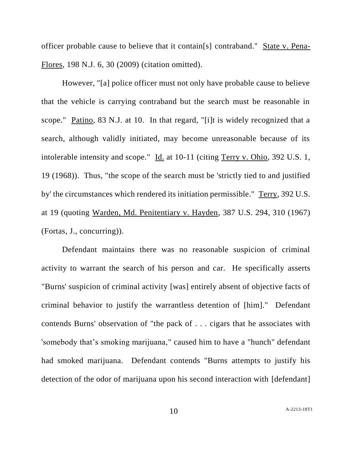officer probable cause to believe that it contain[s] contraband." State v. Pena-Flores, 198 N.J. 6, 30 (2009) (citation omitted).

However, "[a] police officer must not only have probable cause to believe that the vehicle is carrying contraband but the search must be reasonable in scope." Patino, 83 N.J. at 10. In that regard, "[i]t is widely recognized that a search, although validly initiated, may become unreasonable because of its intolerable intensity and scope." Id. at 10-11 (citing Terry v. Ohio, 392 U.S. 1, 19 (1968)). Thus, "the scope of the search must be 'strictly tied to and justified by' the circumstances which rendered its initiation permissible." Terry, 392 U.S. at 19 (quoting Warden, Md. Penitentiary v. Hayden, 387 U.S. 294, 310 (1967) (Fortas, J., concurring)).

Defendant maintains there was no reasonable suspicion of criminal activity to warrant the search of his person and car. He specifically asserts "Burns' suspicion of criminal activity [was] entirely absent of objective facts of criminal behavior to justify the warrantless detention of [him]." Defendant contends Burns' observation of "the pack of . . . cigars that he associates with 'somebody that's smoking marijuana," caused him to have a "hunch" defendant had smoked marijuana. Defendant contends "Burns attempts to justify his detection of the odor of marijuana upon his second interaction with [defendant]